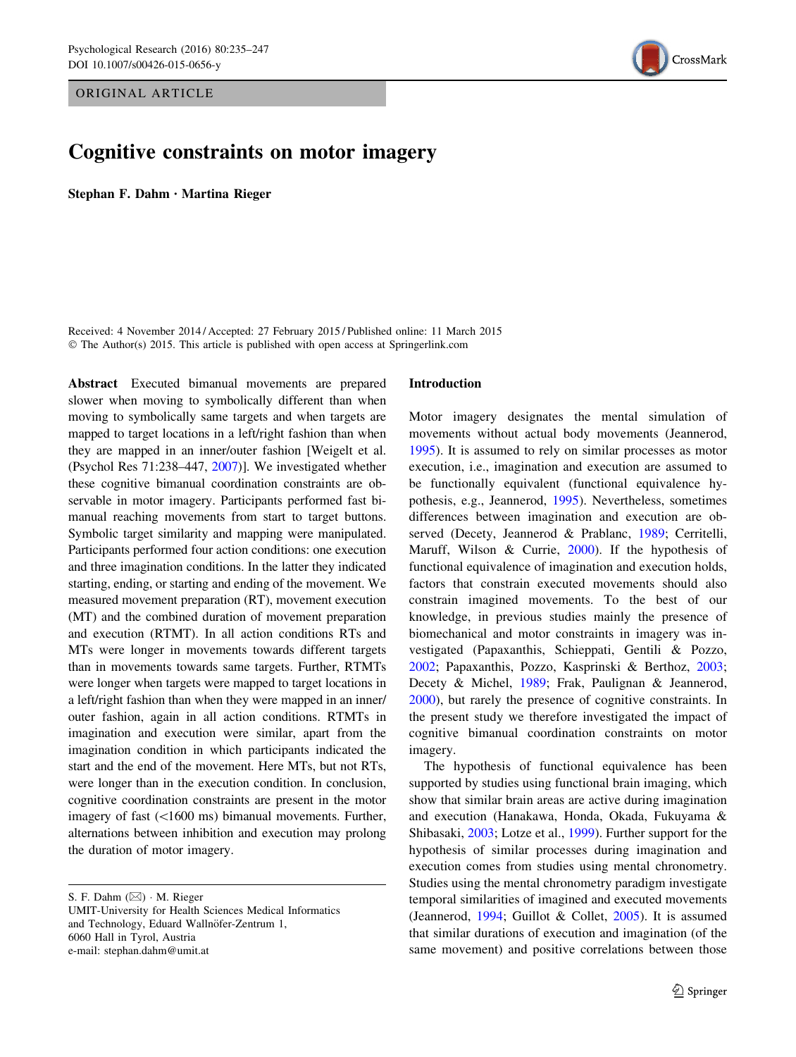ORIGINAL ARTICLE

# Cognitive constraints on motor imagery

Stephan F. Dahm • Martina Rieger

Received: 4 November 2014 / Accepted: 27 February 2015 / Published online: 11 March 2015 © The Author(s) 2015. This article is published with open access at Springerlink.com

Abstract Executed bimanual movements are prepared slower when moving to symbolically different than when moving to symbolically same targets and when targets are mapped to target locations in a left/right fashion than when they are mapped in an inner/outer fashion [Weigelt et al. (Psychol Res 71:238–447, [2007](#page-12-0))]. We investigated whether these cognitive bimanual coordination constraints are observable in motor imagery. Participants performed fast bimanual reaching movements from start to target buttons. Symbolic target similarity and mapping were manipulated. Participants performed four action conditions: one execution and three imagination conditions. In the latter they indicated starting, ending, or starting and ending of the movement. We measured movement preparation (RT), movement execution (MT) and the combined duration of movement preparation and execution (RTMT). In all action conditions RTs and MTs were longer in movements towards different targets than in movements towards same targets. Further, RTMTs were longer when targets were mapped to target locations in a left/right fashion than when they were mapped in an inner/ outer fashion, again in all action conditions. RTMTs in imagination and execution were similar, apart from the imagination condition in which participants indicated the start and the end of the movement. Here MTs, but not RTs, were longer than in the execution condition. In conclusion, cognitive coordination constraints are present in the motor imagery of fast  $(<1600 \text{ ms})$  bimanual movements. Further, alternations between inhibition and execution may prolong the duration of motor imagery.

S. F. Dahm (⊠) · M. Rieger UMIT-University for Health Sciences Medical Informatics and Technology, Eduard Wallnöfer-Zentrum 1, 6060 Hall in Tyrol, Austria e-mail: stephan.dahm@umit.at

### Introduction

Motor imagery designates the mental simulation of movements without actual body movements (Jeannerod, [1995](#page-11-0)). It is assumed to rely on similar processes as motor execution, i.e., imagination and execution are assumed to be functionally equivalent (functional equivalence hypothesis, e.g., Jeannerod, [1995](#page-11-0)). Nevertheless, sometimes differences between imagination and execution are observed (Decety, Jeannerod & Prablanc, [1989;](#page-10-0) Cerritelli, Maruff, Wilson & Currie, [2000](#page-10-0)). If the hypothesis of functional equivalence of imagination and execution holds, factors that constrain executed movements should also constrain imagined movements. To the best of our knowledge, in previous studies mainly the presence of biomechanical and motor constraints in imagery was investigated (Papaxanthis, Schieppati, Gentili & Pozzo, [2002](#page-11-0); Papaxanthis, Pozzo, Kasprinski & Berthoz, [2003](#page-11-0); Decety & Michel, [1989;](#page-10-0) Frak, Paulignan & Jeannerod, [2000](#page-11-0)), but rarely the presence of cognitive constraints. In the present study we therefore investigated the impact of cognitive bimanual coordination constraints on motor imagery.

The hypothesis of functional equivalence has been supported by studies using functional brain imaging, which show that similar brain areas are active during imagination and execution (Hanakawa, Honda, Okada, Fukuyama & Shibasaki, [2003;](#page-11-0) Lotze et al., [1999](#page-11-0)). Further support for the hypothesis of similar processes during imagination and execution comes from studies using mental chronometry. Studies using the mental chronometry paradigm investigate temporal similarities of imagined and executed movements (Jeannerod, [1994;](#page-11-0) Guillot & Collet, [2005\)](#page-11-0). It is assumed that similar durations of execution and imagination (of the same movement) and positive correlations between those

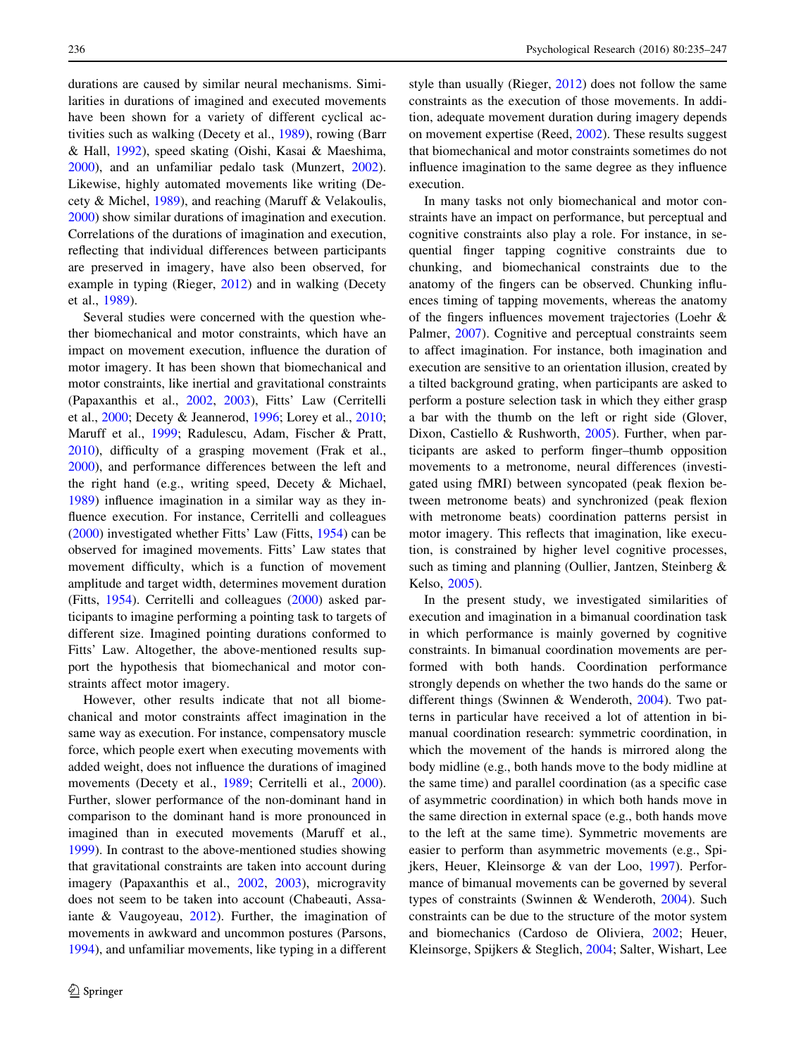durations are caused by similar neural mechanisms. Similarities in durations of imagined and executed movements have been shown for a variety of different cyclical activities such as walking (Decety et al., [1989](#page-10-0)), rowing (Barr & Hall, [1992](#page-10-0)), speed skating (Oishi, Kasai & Maeshima, [2000\)](#page-11-0), and an unfamiliar pedalo task (Munzert, [2002](#page-11-0)). Likewise, highly automated movements like writing (Decety & Michel, [1989\)](#page-10-0), and reaching (Maruff & Velakoulis, [2000\)](#page-11-0) show similar durations of imagination and execution. Correlations of the durations of imagination and execution, reflecting that individual differences between participants are preserved in imagery, have also been observed, for example in typing (Rieger, [2012](#page-11-0)) and in walking (Decety et al., [1989](#page-10-0)).

Several studies were concerned with the question whether biomechanical and motor constraints, which have an impact on movement execution, influence the duration of motor imagery. It has been shown that biomechanical and motor constraints, like inertial and gravitational constraints (Papaxanthis et al., [2002](#page-11-0), [2003\)](#page-11-0), Fitts' Law (Cerritelli et al., [2000](#page-10-0); Decety & Jeannerod, [1996](#page-10-0); Lorey et al., [2010](#page-11-0); Maruff et al., [1999;](#page-11-0) Radulescu, Adam, Fischer & Pratt, [2010\)](#page-11-0), difficulty of a grasping movement (Frak et al., [2000\)](#page-11-0), and performance differences between the left and the right hand (e.g., writing speed, Decety & Michael, [1989\)](#page-10-0) influence imagination in a similar way as they influence execution. For instance, Cerritelli and colleagues [\(2000](#page-10-0)) investigated whether Fitts' Law (Fitts, [1954\)](#page-11-0) can be observed for imagined movements. Fitts' Law states that movement difficulty, which is a function of movement amplitude and target width, determines movement duration (Fitts, [1954\)](#page-11-0). Cerritelli and colleagues [\(2000](#page-10-0)) asked participants to imagine performing a pointing task to targets of different size. Imagined pointing durations conformed to Fitts' Law. Altogether, the above-mentioned results support the hypothesis that biomechanical and motor constraints affect motor imagery.

However, other results indicate that not all biomechanical and motor constraints affect imagination in the same way as execution. For instance, compensatory muscle force, which people exert when executing movements with added weight, does not influence the durations of imagined movements (Decety et al., [1989;](#page-10-0) Cerritelli et al., [2000](#page-10-0)). Further, slower performance of the non-dominant hand in comparison to the dominant hand is more pronounced in imagined than in executed movements (Maruff et al., [1999\)](#page-11-0). In contrast to the above-mentioned studies showing that gravitational constraints are taken into account during imagery (Papaxanthis et al., [2002,](#page-11-0) [2003\)](#page-11-0), microgravity does not seem to be taken into account (Chabeauti, Assaiante & Vaugoyeau, [2012](#page-10-0)). Further, the imagination of movements in awkward and uncommon postures (Parsons, [1994\)](#page-11-0), and unfamiliar movements, like typing in a different style than usually (Rieger, [2012\)](#page-11-0) does not follow the same constraints as the execution of those movements. In addition, adequate movement duration during imagery depends on movement expertise (Reed, [2002\)](#page-11-0). These results suggest that biomechanical and motor constraints sometimes do not influence imagination to the same degree as they influence execution.

In many tasks not only biomechanical and motor constraints have an impact on performance, but perceptual and cognitive constraints also play a role. For instance, in sequential finger tapping cognitive constraints due to chunking, and biomechanical constraints due to the anatomy of the fingers can be observed. Chunking influences timing of tapping movements, whereas the anatomy of the fingers influences movement trajectories (Loehr & Palmer, [2007\)](#page-11-0). Cognitive and perceptual constraints seem to affect imagination. For instance, both imagination and execution are sensitive to an orientation illusion, created by a tilted background grating, when participants are asked to perform a posture selection task in which they either grasp a bar with the thumb on the left or right side (Glover, Dixon, Castiello & Rushworth, [2005\)](#page-11-0). Further, when participants are asked to perform finger–thumb opposition movements to a metronome, neural differences (investigated using fMRI) between syncopated (peak flexion between metronome beats) and synchronized (peak flexion with metronome beats) coordination patterns persist in motor imagery. This reflects that imagination, like execution, is constrained by higher level cognitive processes, such as timing and planning (Oullier, Jantzen, Steinberg & Kelso, [2005](#page-11-0)).

In the present study, we investigated similarities of execution and imagination in a bimanual coordination task in which performance is mainly governed by cognitive constraints. In bimanual coordination movements are performed with both hands. Coordination performance strongly depends on whether the two hands do the same or different things (Swinnen & Wenderoth, [2004\)](#page-12-0). Two patterns in particular have received a lot of attention in bimanual coordination research: symmetric coordination, in which the movement of the hands is mirrored along the body midline (e.g., both hands move to the body midline at the same time) and parallel coordination (as a specific case of asymmetric coordination) in which both hands move in the same direction in external space (e.g., both hands move to the left at the same time). Symmetric movements are easier to perform than asymmetric movements (e.g., Spijkers, Heuer, Kleinsorge & van der Loo, [1997](#page-11-0)). Performance of bimanual movements can be governed by several types of constraints (Swinnen & Wenderoth, [2004\)](#page-12-0). Such constraints can be due to the structure of the motor system and biomechanics (Cardoso de Oliviera, [2002](#page-10-0); Heuer, Kleinsorge, Spijkers & Steglich, [2004;](#page-11-0) Salter, Wishart, Lee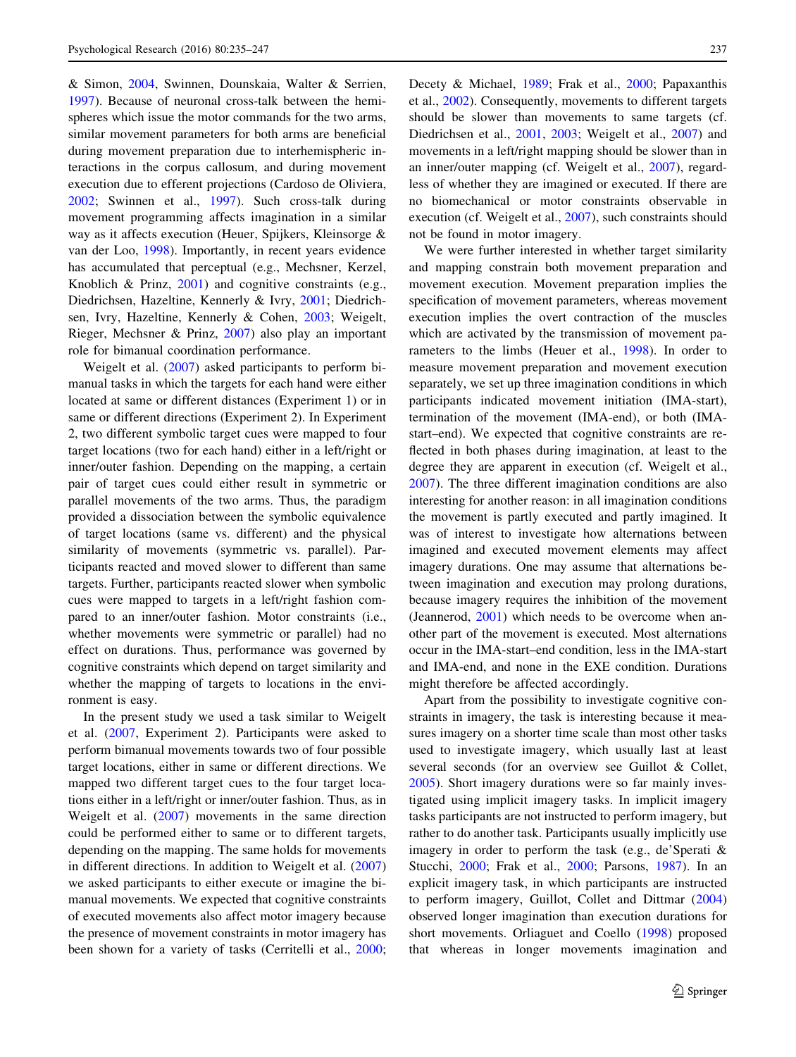& Simon, [2004,](#page-11-0) Swinnen, Dounskaia, Walter & Serrien, [1997\)](#page-12-0). Because of neuronal cross-talk between the hemispheres which issue the motor commands for the two arms, similar movement parameters for both arms are beneficial during movement preparation due to interhemispheric interactions in the corpus callosum, and during movement execution due to efferent projections (Cardoso de Oliviera, [2002;](#page-10-0) Swinnen et al., [1997\)](#page-12-0). Such cross-talk during movement programming affects imagination in a similar way as it affects execution (Heuer, Spijkers, Kleinsorge & van der Loo, [1998](#page-11-0)). Importantly, in recent years evidence has accumulated that perceptual (e.g., Mechsner, Kerzel, Knoblich & Prinz, [2001\)](#page-11-0) and cognitive constraints (e.g., Diedrichsen, Hazeltine, Kennerly & Ivry, [2001](#page-11-0); Diedrichsen, Ivry, Hazeltine, Kennerly & Cohen, [2003;](#page-11-0) Weigelt, Rieger, Mechsner & Prinz, [2007](#page-12-0)) also play an important role for bimanual coordination performance.

Weigelt et al. [\(2007\)](#page-12-0) asked participants to perform bimanual tasks in which the targets for each hand were either located at same or different distances (Experiment 1) or in same or different directions (Experiment 2). In Experiment 2, two different symbolic target cues were mapped to four target locations (two for each hand) either in a left/right or inner/outer fashion. Depending on the mapping, a certain pair of target cues could either result in symmetric or parallel movements of the two arms. Thus, the paradigm provided a dissociation between the symbolic equivalence of target locations (same vs. different) and the physical similarity of movements (symmetric vs. parallel). Participants reacted and moved slower to different than same targets. Further, participants reacted slower when symbolic cues were mapped to targets in a left/right fashion compared to an inner/outer fashion. Motor constraints (i.e., whether movements were symmetric or parallel) had no effect on durations. Thus, performance was governed by cognitive constraints which depend on target similarity and whether the mapping of targets to locations in the environment is easy.

In the present study we used a task similar to Weigelt et al. [\(2007](#page-12-0), Experiment 2). Participants were asked to perform bimanual movements towards two of four possible target locations, either in same or different directions. We mapped two different target cues to the four target locations either in a left/right or inner/outer fashion. Thus, as in Weigelt et al. [\(2007](#page-12-0)) movements in the same direction could be performed either to same or to different targets, depending on the mapping. The same holds for movements in different directions. In addition to Weigelt et al. ([2007\)](#page-12-0) we asked participants to either execute or imagine the bimanual movements. We expected that cognitive constraints of executed movements also affect motor imagery because the presence of movement constraints in motor imagery has been shown for a variety of tasks (Cerritelli et al., [2000](#page-10-0); Decety & Michael, [1989;](#page-10-0) Frak et al., [2000;](#page-11-0) Papaxanthis et al., [2002](#page-11-0)). Consequently, movements to different targets should be slower than movements to same targets (cf. Diedrichsen et al., [2001,](#page-11-0) [2003](#page-11-0); Weigelt et al., [2007](#page-12-0)) and movements in a left/right mapping should be slower than in an inner/outer mapping (cf. Weigelt et al., [2007\)](#page-12-0), regardless of whether they are imagined or executed. If there are no biomechanical or motor constraints observable in execution (cf. Weigelt et al., [2007\)](#page-12-0), such constraints should not be found in motor imagery.

We were further interested in whether target similarity and mapping constrain both movement preparation and movement execution. Movement preparation implies the specification of movement parameters, whereas movement execution implies the overt contraction of the muscles which are activated by the transmission of movement parameters to the limbs (Heuer et al., [1998\)](#page-11-0). In order to measure movement preparation and movement execution separately, we set up three imagination conditions in which participants indicated movement initiation (IMA-start), termination of the movement (IMA-end), or both (IMAstart–end). We expected that cognitive constraints are reflected in both phases during imagination, at least to the degree they are apparent in execution (cf. Weigelt et al., [2007](#page-12-0)). The three different imagination conditions are also interesting for another reason: in all imagination conditions the movement is partly executed and partly imagined. It was of interest to investigate how alternations between imagined and executed movement elements may affect imagery durations. One may assume that alternations between imagination and execution may prolong durations, because imagery requires the inhibition of the movement (Jeannerod, [2001](#page-11-0)) which needs to be overcome when another part of the movement is executed. Most alternations occur in the IMA-start–end condition, less in the IMA-start and IMA-end, and none in the EXE condition. Durations might therefore be affected accordingly.

Apart from the possibility to investigate cognitive constraints in imagery, the task is interesting because it measures imagery on a shorter time scale than most other tasks used to investigate imagery, which usually last at least several seconds (for an overview see Guillot & Collet, [2005](#page-11-0)). Short imagery durations were so far mainly investigated using implicit imagery tasks. In implicit imagery tasks participants are not instructed to perform imagery, but rather to do another task. Participants usually implicitly use imagery in order to perform the task (e.g., de'Sperati & Stucchi, [2000;](#page-10-0) Frak et al., [2000](#page-11-0); Parsons, [1987\)](#page-11-0). In an explicit imagery task, in which participants are instructed to perform imagery, Guillot, Collet and Dittmar ([2004\)](#page-11-0) observed longer imagination than execution durations for short movements. Orliaguet and Coello ([1998\)](#page-11-0) proposed that whereas in longer movements imagination and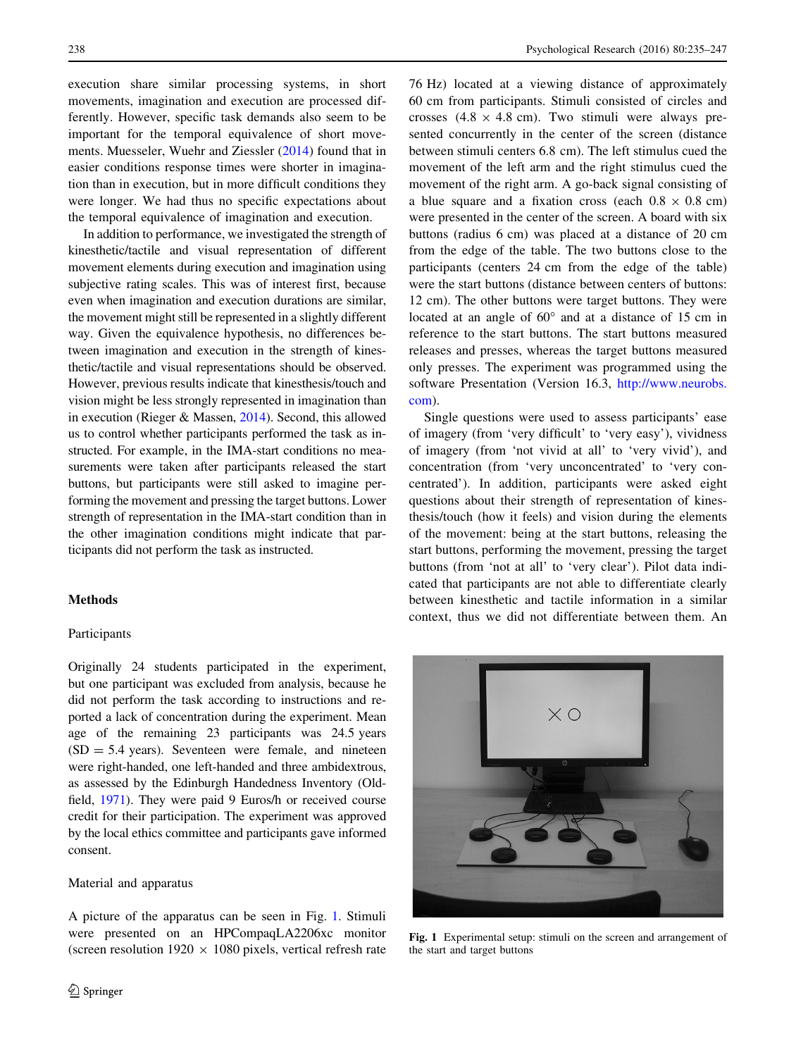execution share similar processing systems, in short movements, imagination and execution are processed differently. However, specific task demands also seem to be important for the temporal equivalence of short movements. Muesseler, Wuehr and Ziessler [\(2014](#page-11-0)) found that in easier conditions response times were shorter in imagination than in execution, but in more difficult conditions they were longer. We had thus no specific expectations about the temporal equivalence of imagination and execution.

In addition to performance, we investigated the strength of kinesthetic/tactile and visual representation of different movement elements during execution and imagination using subjective rating scales. This was of interest first, because even when imagination and execution durations are similar, the movement might still be represented in a slightly different way. Given the equivalence hypothesis, no differences between imagination and execution in the strength of kinesthetic/tactile and visual representations should be observed. However, previous results indicate that kinesthesis/touch and vision might be less strongly represented in imagination than in execution (Rieger & Massen, [2014](#page-11-0)). Second, this allowed us to control whether participants performed the task as instructed. For example, in the IMA-start conditions no measurements were taken after participants released the start buttons, but participants were still asked to imagine performing the movement and pressing the target buttons. Lower strength of representation in the IMA-start condition than in the other imagination conditions might indicate that participants did not perform the task as instructed.

# Methods

## Participants

Originally 24 students participated in the experiment, but one participant was excluded from analysis, because he did not perform the task according to instructions and reported a lack of concentration during the experiment. Mean age of the remaining 23 participants was 24.5 years  $(SD = 5.4 \text{ years})$ . Seventeen were female, and nineteen were right-handed, one left-handed and three ambidextrous, as assessed by the Edinburgh Handedness Inventory (Oldfield, [1971](#page-11-0)). They were paid 9 Euros/h or received course credit for their participation. The experiment was approved by the local ethics committee and participants gave informed consent.

#### Material and apparatus

A picture of the apparatus can be seen in Fig. 1. Stimuli were presented on an HPCompaqLA2206xc monitor (screen resolution 1920  $\times$  1080 pixels, vertical refresh rate

76 Hz) located at a viewing distance of approximately 60 cm from participants. Stimuli consisted of circles and crosses  $(4.8 \times 4.8 \text{ cm})$ . Two stimuli were always presented concurrently in the center of the screen (distance between stimuli centers 6.8 cm). The left stimulus cued the movement of the left arm and the right stimulus cued the movement of the right arm. A go-back signal consisting of a blue square and a fixation cross (each  $0.8 \times 0.8$  cm) were presented in the center of the screen. A board with six buttons (radius 6 cm) was placed at a distance of 20 cm from the edge of the table. The two buttons close to the participants (centers 24 cm from the edge of the table) were the start buttons (distance between centers of buttons: 12 cm). The other buttons were target buttons. They were located at an angle of  $60^{\circ}$  and at a distance of 15 cm in reference to the start buttons. The start buttons measured releases and presses, whereas the target buttons measured only presses. The experiment was programmed using the software Presentation (Version 16.3, [http://www.neurobs.](http://www.neurobs.com) [com](http://www.neurobs.com)).

Single questions were used to assess participants' ease of imagery (from 'very difficult' to 'very easy'), vividness of imagery (from 'not vivid at all' to 'very vivid'), and concentration (from 'very unconcentrated' to 'very concentrated'). In addition, participants were asked eight questions about their strength of representation of kinesthesis/touch (how it feels) and vision during the elements of the movement: being at the start buttons, releasing the start buttons, performing the movement, pressing the target buttons (from 'not at all' to 'very clear'). Pilot data indicated that participants are not able to differentiate clearly between kinesthetic and tactile information in a similar context, thus we did not differentiate between them. An



Fig. 1 Experimental setup: stimuli on the screen and arrangement of the start and target buttons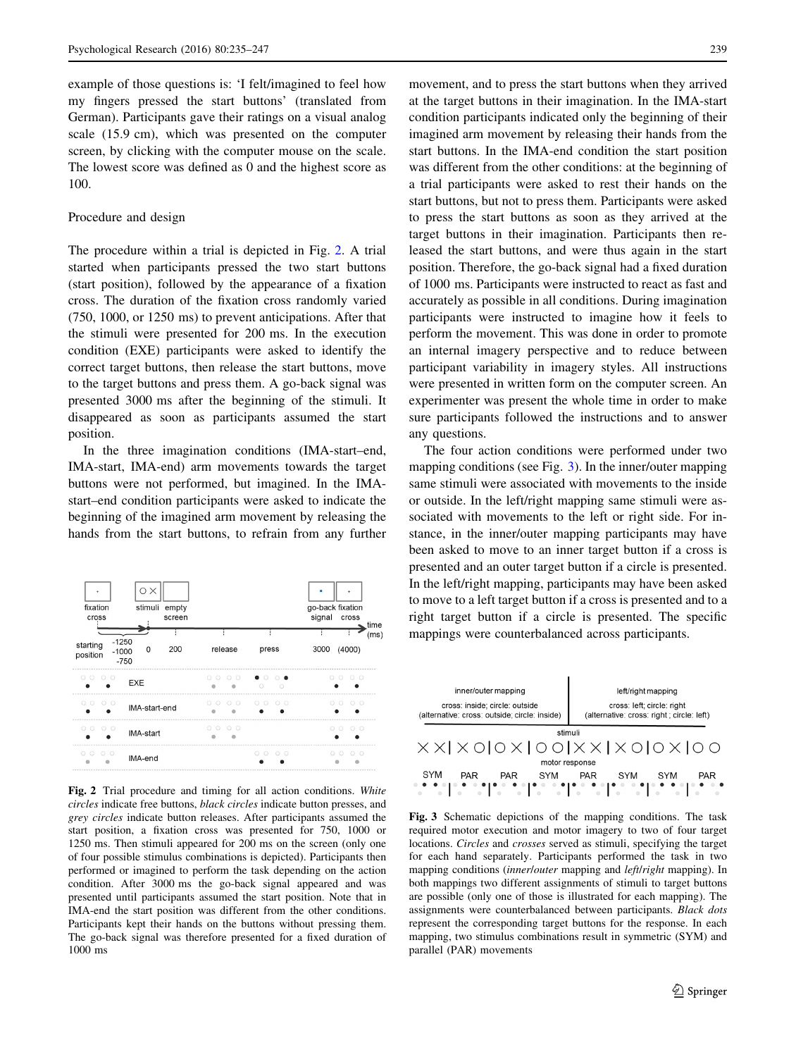example of those questions is: 'I felt/imagined to feel how my fingers pressed the start buttons' (translated from German). Participants gave their ratings on a visual analog scale (15.9 cm), which was presented on the computer screen, by clicking with the computer mouse on the scale. The lowest score was defined as 0 and the highest score as 100.

#### Procedure and design

The procedure within a trial is depicted in Fig. 2. A trial started when participants pressed the two start buttons (start position), followed by the appearance of a fixation cross. The duration of the fixation cross randomly varied (750, 1000, or 1250 ms) to prevent anticipations. After that the stimuli were presented for 200 ms. In the execution condition (EXE) participants were asked to identify the correct target buttons, then release the start buttons, move to the target buttons and press them. A go-back signal was presented 3000 ms after the beginning of the stimuli. It disappeared as soon as participants assumed the start position.

In the three imagination conditions (IMA-start–end, IMA-start, IMA-end) arm movements towards the target buttons were not performed, but imagined. In the IMAstart–end condition participants were asked to indicate the beginning of the imagined arm movement by releasing the hands from the start buttons, to refrain from any further



Fig. 2 Trial procedure and timing for all action conditions. White circles indicate free buttons, black circles indicate button presses, and grey circles indicate button releases. After participants assumed the start position, a fixation cross was presented for 750, 1000 or 1250 ms. Then stimuli appeared for 200 ms on the screen (only one of four possible stimulus combinations is depicted). Participants then performed or imagined to perform the task depending on the action condition. After 3000 ms the go-back signal appeared and was presented until participants assumed the start position. Note that in IMA-end the start position was different from the other conditions. Participants kept their hands on the buttons without pressing them. The go-back signal was therefore presented for a fixed duration of 1000 ms

movement, and to press the start buttons when they arrived at the target buttons in their imagination. In the IMA-start condition participants indicated only the beginning of their imagined arm movement by releasing their hands from the start buttons. In the IMA-end condition the start position was different from the other conditions: at the beginning of a trial participants were asked to rest their hands on the start buttons, but not to press them. Participants were asked to press the start buttons as soon as they arrived at the target buttons in their imagination. Participants then released the start buttons, and were thus again in the start position. Therefore, the go-back signal had a fixed duration of 1000 ms. Participants were instructed to react as fast and accurately as possible in all conditions. During imagination participants were instructed to imagine how it feels to perform the movement. This was done in order to promote an internal imagery perspective and to reduce between participant variability in imagery styles. All instructions were presented in written form on the computer screen. An experimenter was present the whole time in order to make sure participants followed the instructions and to answer any questions.

The four action conditions were performed under two mapping conditions (see Fig. 3). In the inner/outer mapping same stimuli were associated with movements to the inside or outside. In the left/right mapping same stimuli were associated with movements to the left or right side. For instance, in the inner/outer mapping participants may have been asked to move to an inner target button if a cross is presented and an outer target button if a circle is presented. In the left/right mapping, participants may have been asked to move to a left target button if a cross is presented and to a right target button if a circle is presented. The specific mappings were counterbalanced across participants.



Fig. 3 Schematic depictions of the mapping conditions. The task required motor execution and motor imagery to two of four target locations. Circles and crosses served as stimuli, specifying the target for each hand separately. Participants performed the task in two mapping conditions *(innerlouter mapping and left/right mapping)*. In both mappings two different assignments of stimuli to target buttons are possible (only one of those is illustrated for each mapping). The assignments were counterbalanced between participants. Black dots represent the corresponding target buttons for the response. In each mapping, two stimulus combinations result in symmetric (SYM) and parallel (PAR) movements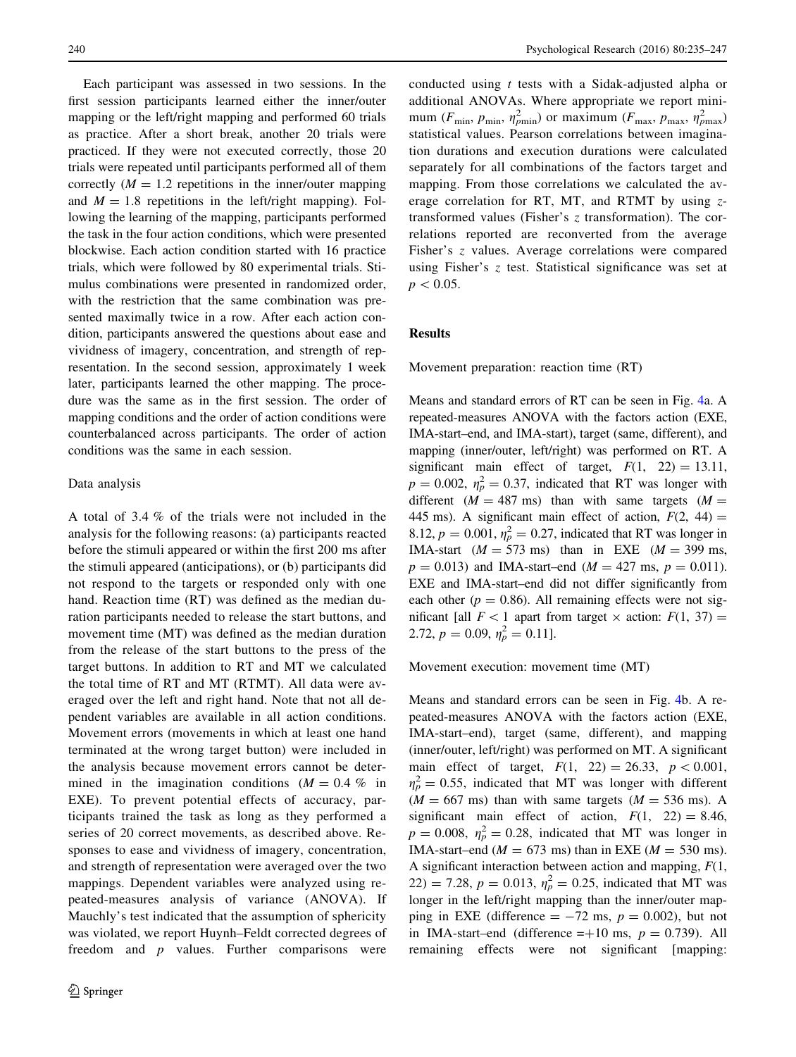Each participant was assessed in two sessions. In the first session participants learned either the inner/outer mapping or the left/right mapping and performed 60 trials as practice. After a short break, another 20 trials were practiced. If they were not executed correctly, those 20 trials were repeated until participants performed all of them correctly  $(M = 1.2$  repetitions in the inner/outer mapping and  $M = 1.8$  repetitions in the left/right mapping). Following the learning of the mapping, participants performed the task in the four action conditions, which were presented blockwise. Each action condition started with 16 practice trials, which were followed by 80 experimental trials. Stimulus combinations were presented in randomized order, with the restriction that the same combination was presented maximally twice in a row. After each action condition, participants answered the questions about ease and vividness of imagery, concentration, and strength of representation. In the second session, approximately 1 week later, participants learned the other mapping. The procedure was the same as in the first session. The order of mapping conditions and the order of action conditions were counterbalanced across participants. The order of action conditions was the same in each session.

#### Data analysis

A total of 3.4 % of the trials were not included in the analysis for the following reasons: (a) participants reacted before the stimuli appeared or within the first 200 ms after the stimuli appeared (anticipations), or (b) participants did not respond to the targets or responded only with one hand. Reaction time (RT) was defined as the median duration participants needed to release the start buttons, and movement time (MT) was defined as the median duration from the release of the start buttons to the press of the target buttons. In addition to RT and MT we calculated the total time of RT and MT (RTMT). All data were averaged over the left and right hand. Note that not all dependent variables are available in all action conditions. Movement errors (movements in which at least one hand terminated at the wrong target button) were included in the analysis because movement errors cannot be determined in the imagination conditions  $(M = 0.4\%$  in EXE). To prevent potential effects of accuracy, participants trained the task as long as they performed a series of 20 correct movements, as described above. Responses to ease and vividness of imagery, concentration, and strength of representation were averaged over the two mappings. Dependent variables were analyzed using repeated-measures analysis of variance (ANOVA). If Mauchly's test indicated that the assumption of sphericity was violated, we report Huynh–Feldt corrected degrees of freedom and  $p$  values. Further comparisons were conducted using t tests with a Sidak-adjusted alpha or additional ANOVAs. Where appropriate we report minimum ( $F_{\text{min}}$ ,  $p_{\text{min}}$ ,  $\eta_{p_{\text{min}}}^2$ ) or maximum ( $F_{\text{max}}$ ,  $p_{\text{max}}$ ,  $\eta_{p_{\text{max}}}^2$ ) statistical values. Pearson correlations between imagination durations and execution durations were calculated separately for all combinations of the factors target and mapping. From those correlations we calculated the average correlation for RT, MT, and RTMT by using  $z$ transformed values (Fisher's z transformation). The correlations reported are reconverted from the average Fisher's z values. Average correlations were compared using Fisher's z test. Statistical significance was set at  $p < 0.05$ .

# Results

Movement preparation: reaction time (RT)

Means and standard errors of RT can be seen in Fig. [4](#page-6-0)a. A repeated-measures ANOVA with the factors action (EXE, IMA-start–end, and IMA-start), target (same, different), and mapping (inner/outer, left/right) was performed on RT. A significant main effect of target,  $F(1, 22) = 13.11$ ,  $p = 0.002$ ,  $\eta_p^2 = 0.37$ , indicated that RT was longer with different  $(M = 487 \text{ ms})$  than with same targets  $(M =$ 445 ms). A significant main effect of action,  $F(2, 44) =$ 8.12,  $p = 0.001$ ,  $\eta_p^2 = 0.27$ , indicated that RT was longer in IMA-start ( $M = 573$  ms) than in EXE ( $M = 399$  ms,  $p = 0.013$ ) and IMA-start–end ( $M = 427$  ms,  $p = 0.011$ ). EXE and IMA-start–end did not differ significantly from each other ( $p = 0.86$ ). All remaining effects were not significant [all  $F<1$  apart from target  $\times$  action:  $F(1, 37) =$ 2.72,  $p = 0.09$ ,  $\eta_p^2 = 0.11$ ].

Movement execution: movement time (MT)

Means and standard errors can be seen in Fig. [4](#page-6-0)b. A repeated-measures ANOVA with the factors action (EXE, IMA-start–end), target (same, different), and mapping (inner/outer, left/right) was performed on MT. A significant main effect of target,  $F(1, 22) = 26.33, p < 0.001$ ,  $\eta_p^2 = 0.55$ , indicated that MT was longer with different  $(M = 667 \text{ ms})$  than with same targets  $(M = 536 \text{ ms})$ . A significant main effect of action,  $F(1, 22) = 8.46$ ,  $p = 0.008$ ,  $\eta_p^2 = 0.28$ , indicated that MT was longer in IMA-start–end ( $M = 673$  ms) than in EXE ( $M = 530$  ms). A significant interaction between action and mapping,  $F(1, 1)$ 22) = 7.28,  $p = 0.013$ ,  $\eta_p^2 = 0.25$ , indicated that MT was longer in the left/right mapping than the inner/outer mapping in EXE (difference  $= -72$  ms,  $p = 0.002$ ), but not in IMA-start–end (difference  $=+10$  ms,  $p = 0.739$ ). All remaining effects were not significant [mapping: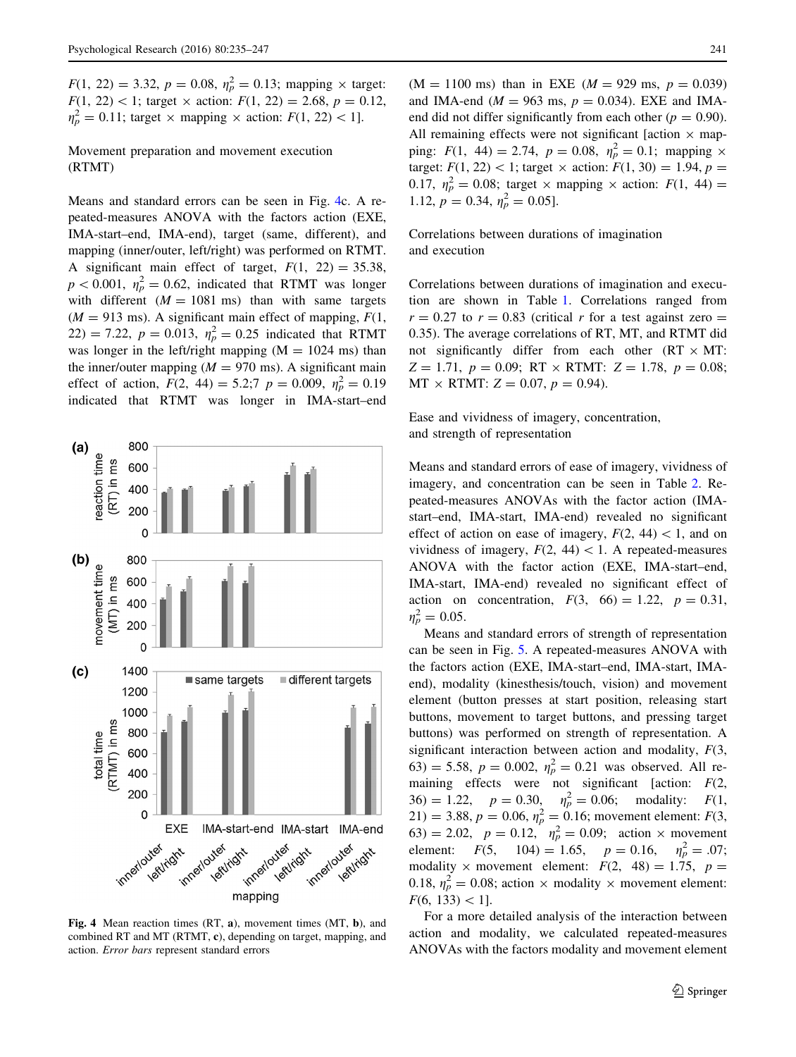<span id="page-6-0"></span> $F(1, 22) = 3.32, p = 0.08, \eta_p^2 = 0.13$ ; mapping  $\times$  target:  $F(1, 22) < 1$ ; target  $\times$  action:  $F(1, 22) = 2.68$ ,  $p = 0.12$ ,  $\eta_p^2 = 0.11$ ; target  $\times$  mapping  $\times$  action:  $F(1, 22) < 1$ .

Movement preparation and movement execution (RTMT)

Means and standard errors can be seen in Fig. 4c. A repeated-measures ANOVA with the factors action (EXE, IMA-start–end, IMA-end), target (same, different), and mapping (inner/outer, left/right) was performed on RTMT. A significant main effect of target,  $F(1, 22) = 35.38$ ,  $p < 0.001$ ,  $\eta_p^2 = 0.62$ , indicated that RTMT was longer with different  $(M = 1081 \text{ ms})$  than with same targets  $(M = 913 \text{ ms})$ . A significant main effect of mapping,  $F(1,$ 22) = 7.22,  $p = 0.013$ ,  $\eta_p^2 = 0.25$  indicated that RTMT was longer in the left/right mapping  $(M = 1024 \text{ ms})$  than the inner/outer mapping  $(M = 970 \text{ ms})$ . A significant main effect of action,  $F(2, 44) = 5.2; 7 p = 0.009, \eta_p^2 = 0.19$ indicated that RTMT was longer in IMA-start–end



Fig. 4 Mean reaction times (RT, a), movement times (MT, b), and combined RT and MT (RTMT, c), depending on target, mapping, and action. Error bars represent standard errors

 $(M = 1100 \text{ ms})$  than in EXE  $(M = 929 \text{ ms}, p = 0.039)$ and IMA-end ( $M = 963$  ms,  $p = 0.034$ ). EXE and IMAend did not differ significantly from each other ( $p = 0.90$ ). All remaining effects were not significant [action  $\times$  mapping:  $F(1, 44) = 2.74$ ,  $p = 0.08$ ,  $\eta_p^2 = 0.1$ ; mapping  $\times$ target:  $F(1, 22) < 1$ ; target  $\times$  action:  $F(1, 30) = 1.94$ ,  $p =$ 0.17,  $\eta_p^2 = 0.08$ ; target  $\times$  mapping  $\times$  action:  $F(1, 44) =$ 1.12,  $p = 0.34$ ,  $\eta_p^2 = 0.05$ ].

Correlations between durations of imagination and execution

Correlations between durations of imagination and execution are shown in Table [1.](#page-7-0) Correlations ranged from  $r = 0.27$  to  $r = 0.83$  (critical r for a test against zero = 0.35). The average correlations of RT, MT, and RTMT did not significantly differ from each other  $(RT \times MT)$ :  $Z = 1.71, p = 0.09; RT \times RTMT: Z = 1.78, p = 0.08;$  $MT \times RTMT$ :  $Z = 0.07$ ,  $p = 0.94$ ).

Ease and vividness of imagery, concentration, and strength of representation

Means and standard errors of ease of imagery, vividness of imagery, and concentration can be seen in Table [2.](#page-7-0) Repeated-measures ANOVAs with the factor action (IMAstart–end, IMA-start, IMA-end) revealed no significant effect of action on ease of imagery,  $F(2, 44) < 1$ , and on vividness of imagery,  $F(2, 44) < 1$ . A repeated-measures ANOVA with the factor action (EXE, IMA-start–end, IMA-start, IMA-end) revealed no significant effect of action on concentration,  $F(3, 66) = 1.22, p = 0.31$ ,  $\eta_p^2 = 0.05$ .

Means and standard errors of strength of representation can be seen in Fig. [5.](#page-7-0) A repeated-measures ANOVA with the factors action (EXE, IMA-start–end, IMA-start, IMAend), modality (kinesthesis/touch, vision) and movement element (button presses at start position, releasing start buttons, movement to target buttons, and pressing target buttons) was performed on strength of representation. A significant interaction between action and modality,  $F(3)$ , 63) = 5.58,  $p = 0.002$ ,  $\eta_p^2 = 0.21$  was observed. All remaining effects were not significant [action:  $F(2)$ ,  $36) = 1.22$ ,  $p = 0.30$ ,  $\eta_p^2 = 0.06$ ; modality:  $F(1,$ 21) = 3.88,  $p = 0.06$ ,  $\eta_p^2 = 0.16$ ; movement element:  $F(3, 1)$ 63) = 2.02,  $p = 0.12$ ,  $\eta_p^2 = 0.09$ ; action  $\times$  movement element:  $F(5, 104) = 1.65, p = 0.16, \eta_p^2 = .07;$ modality  $\times$  movement element:  $F(2, 48) = 1.75$ ,  $p =$ 0.18,  $\eta_p^2 = 0.08$ ; action  $\times$  modality  $\times$  movement element:  $F(6, 133) < 1$ .

For a more detailed analysis of the interaction between action and modality, we calculated repeated-measures ANOVAs with the factors modality and movement element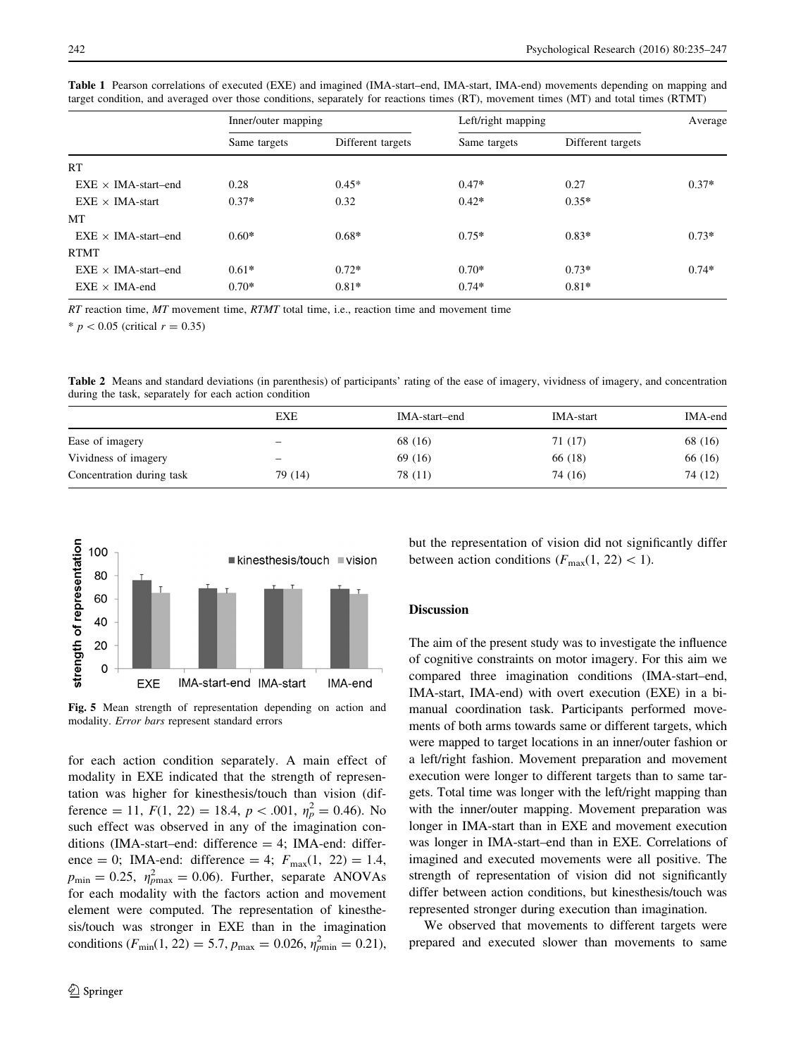|                            | Inner/outer mapping |                   | Left/right mapping |                   | Average |
|----------------------------|---------------------|-------------------|--------------------|-------------------|---------|
|                            | Same targets        | Different targets | Same targets       | Different targets |         |
| RT                         |                     |                   |                    |                   |         |
| $EXE \times IMA-start-end$ | 0.28                | $0.45*$           | $0.47*$            | 0.27              | $0.37*$ |
| $EXE \times IMA-start$     | $0.37*$             | 0.32              | $0.42*$            | $0.35*$           |         |
| МT                         |                     |                   |                    |                   |         |
| $EXE \times IMA-start-end$ | $0.60*$             | $0.68*$           | $0.75*$            | $0.83*$           | $0.73*$ |
| <b>RTMT</b>                |                     |                   |                    |                   |         |
| $EXE \times IMA-start-end$ | $0.61*$             | $0.72*$           | $0.70*$            | $0.73*$           | $0.74*$ |
| $EXE \times IMA$ -end      | $0.70*$             | $0.81*$           | $0.74*$            | $0.81*$           |         |

<span id="page-7-0"></span>Table 1 Pearson correlations of executed (EXE) and imagined (IMA-start–end, IMA-start, IMA-end) movements depending on mapping and target condition, and averaged over those conditions, separately for reactions times (RT), movement times (MT) and total times (RTMT)

 $RT$  reaction time,  $MT$  movement time,  $RTMT$  total time, i.e., reaction time and movement time

\*  $p < 0.05$  (critical  $r = 0.35$ )

Table 2 Means and standard deviations (in parenthesis) of participants' rating of the ease of imagery, vividness of imagery, and concentration during the task, separately for each action condition

|                           | EXE     | IMA-start-end | <b>IMA-start</b> | IMA-end |
|---------------------------|---------|---------------|------------------|---------|
| Ease of imagery           | -       | 68 (16)       | 71 (17)          | 68 (16) |
| Vividness of imagery      | -       | 69 (16)       | 66 (18)          | 66 (16) |
| Concentration during task | 79 (14) | 78 (11)       | 74 (16)          | 74 (12) |



Fig. 5 Mean strength of representation depending on action and modality. Error bars represent standard errors

for each action condition separately. A main effect of modality in EXE indicated that the strength of representation was higher for kinesthesis/touch than vision (difference = 11,  $F(1, 22) = 18.4, p < .001, \eta_p^2 = 0.46$ ). No such effect was observed in any of the imagination conditions (IMA-start–end: difference = 4; IMA-end: difference = 0; IMA-end: difference = 4;  $F_{\text{max}}(1, 22) = 1.4$ ,  $p_{\min} = 0.25$ ,  $\eta_{p_{\max}}^2 = 0.06$ ). Further, separate ANOVAs for each modality with the factors action and movement element were computed. The representation of kinesthesis/touch was stronger in EXE than in the imagination conditions ( $F_{\text{min}}(1, 22) = 5.7$ ,  $p_{\text{max}} = 0.026$ ,  $\eta_{\text{pmin}}^2 = 0.21$ ),

but the representation of vision did not significantly differ between action conditions  $(F_{\text{max}}(1, 22) < 1)$ .

# Discussion

The aim of the present study was to investigate the influence of cognitive constraints on motor imagery. For this aim we compared three imagination conditions (IMA-start–end, IMA-start, IMA-end) with overt execution (EXE) in a bimanual coordination task. Participants performed movements of both arms towards same or different targets, which were mapped to target locations in an inner/outer fashion or a left/right fashion. Movement preparation and movement execution were longer to different targets than to same targets. Total time was longer with the left/right mapping than with the inner/outer mapping. Movement preparation was longer in IMA-start than in EXE and movement execution was longer in IMA-start–end than in EXE. Correlations of imagined and executed movements were all positive. The strength of representation of vision did not significantly differ between action conditions, but kinesthesis/touch was represented stronger during execution than imagination.

We observed that movements to different targets were prepared and executed slower than movements to same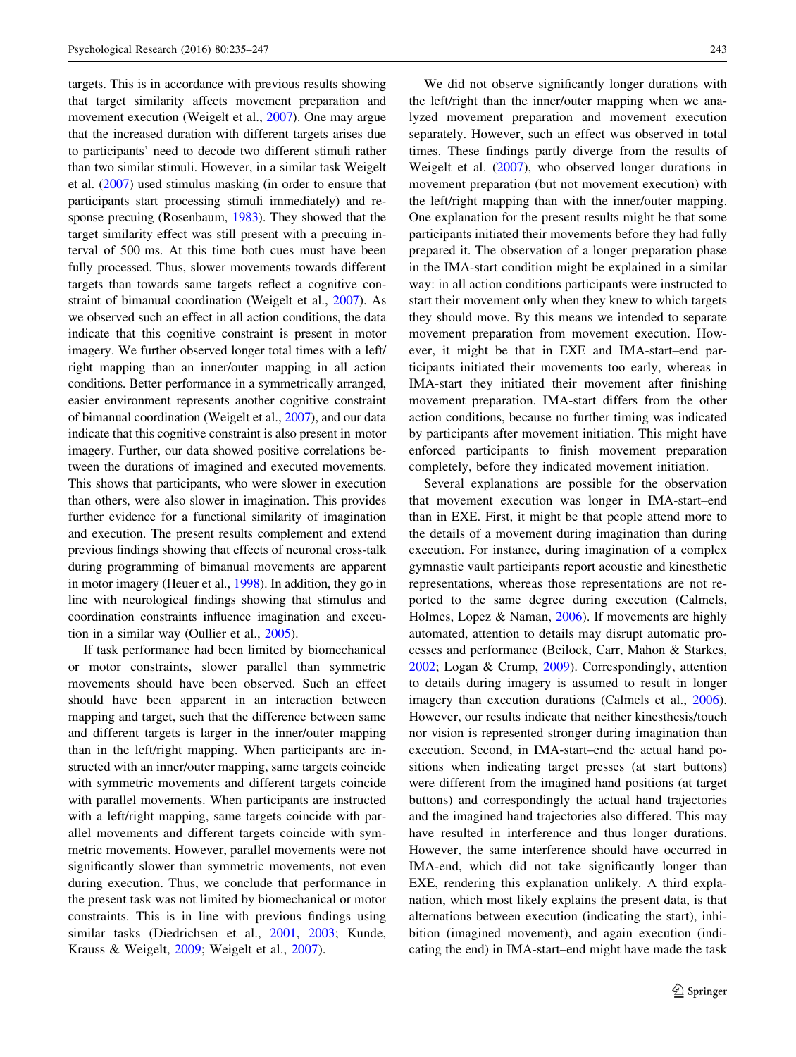targets. This is in accordance with previous results showing that target similarity affects movement preparation and movement execution (Weigelt et al., [2007](#page-12-0)). One may argue that the increased duration with different targets arises due to participants' need to decode two different stimuli rather than two similar stimuli. However, in a similar task Weigelt et al. [\(2007\)](#page-12-0) used stimulus masking (in order to ensure that participants start processing stimuli immediately) and response precuing (Rosenbaum, [1983](#page-11-0)). They showed that the target similarity effect was still present with a precuing interval of 500 ms. At this time both cues must have been fully processed. Thus, slower movements towards different targets than towards same targets reflect a cognitive constraint of bimanual coordination (Weigelt et al., [2007\)](#page-12-0). As we observed such an effect in all action conditions, the data indicate that this cognitive constraint is present in motor imagery. We further observed longer total times with a left/ right mapping than an inner/outer mapping in all action conditions. Better performance in a symmetrically arranged, easier environment represents another cognitive constraint of bimanual coordination (Weigelt et al., [2007\)](#page-12-0), and our data indicate that this cognitive constraint is also present in motor imagery. Further, our data showed positive correlations between the durations of imagined and executed movements. This shows that participants, who were slower in execution than others, were also slower in imagination. This provides further evidence for a functional similarity of imagination and execution. The present results complement and extend previous findings showing that effects of neuronal cross-talk during programming of bimanual movements are apparent in motor imagery (Heuer et al., [1998](#page-11-0)). In addition, they go in line with neurological findings showing that stimulus and coordination constraints influence imagination and execution in a similar way (Oullier et al., [2005\)](#page-11-0).

If task performance had been limited by biomechanical or motor constraints, slower parallel than symmetric movements should have been observed. Such an effect should have been apparent in an interaction between mapping and target, such that the difference between same and different targets is larger in the inner/outer mapping than in the left/right mapping. When participants are instructed with an inner/outer mapping, same targets coincide with symmetric movements and different targets coincide with parallel movements. When participants are instructed with a left/right mapping, same targets coincide with parallel movements and different targets coincide with symmetric movements. However, parallel movements were not significantly slower than symmetric movements, not even during execution. Thus, we conclude that performance in the present task was not limited by biomechanical or motor constraints. This is in line with previous findings using similar tasks (Diedrichsen et al., [2001,](#page-11-0) [2003;](#page-11-0) Kunde, Krauss & Weigelt, [2009;](#page-11-0) Weigelt et al., [2007](#page-12-0)).

We did not observe significantly longer durations with the left/right than the inner/outer mapping when we analyzed movement preparation and movement execution separately. However, such an effect was observed in total times. These findings partly diverge from the results of Weigelt et al. ([2007\)](#page-12-0), who observed longer durations in movement preparation (but not movement execution) with the left/right mapping than with the inner/outer mapping. One explanation for the present results might be that some participants initiated their movements before they had fully prepared it. The observation of a longer preparation phase in the IMA-start condition might be explained in a similar way: in all action conditions participants were instructed to start their movement only when they knew to which targets they should move. By this means we intended to separate movement preparation from movement execution. However, it might be that in EXE and IMA-start–end participants initiated their movements too early, whereas in IMA-start they initiated their movement after finishing movement preparation. IMA-start differs from the other action conditions, because no further timing was indicated by participants after movement initiation. This might have enforced participants to finish movement preparation completely, before they indicated movement initiation.

Several explanations are possible for the observation that movement execution was longer in IMA-start–end than in EXE. First, it might be that people attend more to the details of a movement during imagination than during execution. For instance, during imagination of a complex gymnastic vault participants report acoustic and kinesthetic representations, whereas those representations are not reported to the same degree during execution (Calmels, Holmes, Lopez & Naman, [2006\)](#page-10-0). If movements are highly automated, attention to details may disrupt automatic processes and performance (Beilock, Carr, Mahon & Starkes, [2002](#page-10-0); Logan & Crump, [2009\)](#page-11-0). Correspondingly, attention to details during imagery is assumed to result in longer imagery than execution durations (Calmels et al., [2006](#page-10-0)). However, our results indicate that neither kinesthesis/touch nor vision is represented stronger during imagination than execution. Second, in IMA-start–end the actual hand positions when indicating target presses (at start buttons) were different from the imagined hand positions (at target buttons) and correspondingly the actual hand trajectories and the imagined hand trajectories also differed. This may have resulted in interference and thus longer durations. However, the same interference should have occurred in IMA-end, which did not take significantly longer than EXE, rendering this explanation unlikely. A third explanation, which most likely explains the present data, is that alternations between execution (indicating the start), inhibition (imagined movement), and again execution (indicating the end) in IMA-start–end might have made the task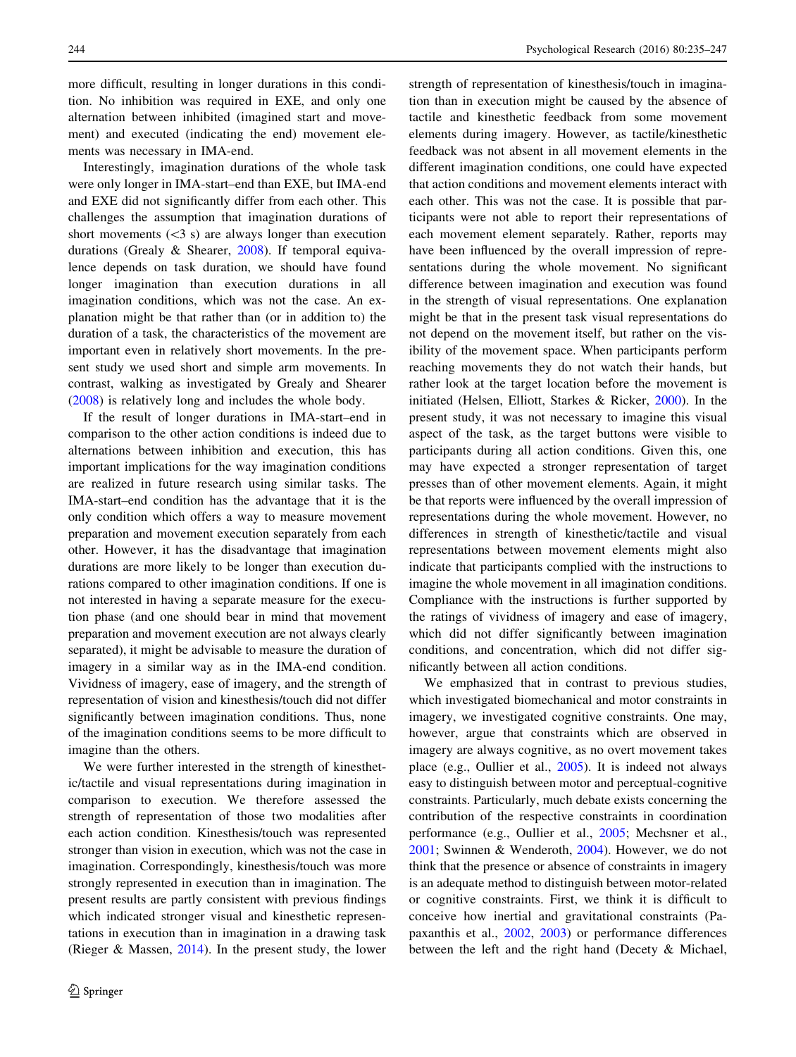more difficult, resulting in longer durations in this condition. No inhibition was required in EXE, and only one alternation between inhibited (imagined start and movement) and executed (indicating the end) movement elements was necessary in IMA-end.

Interestingly, imagination durations of the whole task were only longer in IMA-start–end than EXE, but IMA-end and EXE did not significantly differ from each other. This challenges the assumption that imagination durations of short movements  $( $3$  s)$  are always longer than execution durations (Grealy & Shearer, [2008\)](#page-11-0). If temporal equivalence depends on task duration, we should have found longer imagination than execution durations in all imagination conditions, which was not the case. An explanation might be that rather than (or in addition to) the duration of a task, the characteristics of the movement are important even in relatively short movements. In the present study we used short and simple arm movements. In contrast, walking as investigated by Grealy and Shearer [\(2008](#page-11-0)) is relatively long and includes the whole body.

If the result of longer durations in IMA-start–end in comparison to the other action conditions is indeed due to alternations between inhibition and execution, this has important implications for the way imagination conditions are realized in future research using similar tasks. The IMA-start–end condition has the advantage that it is the only condition which offers a way to measure movement preparation and movement execution separately from each other. However, it has the disadvantage that imagination durations are more likely to be longer than execution durations compared to other imagination conditions. If one is not interested in having a separate measure for the execution phase (and one should bear in mind that movement preparation and movement execution are not always clearly separated), it might be advisable to measure the duration of imagery in a similar way as in the IMA-end condition. Vividness of imagery, ease of imagery, and the strength of representation of vision and kinesthesis/touch did not differ significantly between imagination conditions. Thus, none of the imagination conditions seems to be more difficult to imagine than the others.

We were further interested in the strength of kinesthetic/tactile and visual representations during imagination in comparison to execution. We therefore assessed the strength of representation of those two modalities after each action condition. Kinesthesis/touch was represented stronger than vision in execution, which was not the case in imagination. Correspondingly, kinesthesis/touch was more strongly represented in execution than in imagination. The present results are partly consistent with previous findings which indicated stronger visual and kinesthetic representations in execution than in imagination in a drawing task (Rieger & Massen, [2014\)](#page-11-0). In the present study, the lower strength of representation of kinesthesis/touch in imagination than in execution might be caused by the absence of tactile and kinesthetic feedback from some movement elements during imagery. However, as tactile/kinesthetic feedback was not absent in all movement elements in the different imagination conditions, one could have expected that action conditions and movement elements interact with each other. This was not the case. It is possible that participants were not able to report their representations of each movement element separately. Rather, reports may have been influenced by the overall impression of representations during the whole movement. No significant difference between imagination and execution was found in the strength of visual representations. One explanation might be that in the present task visual representations do not depend on the movement itself, but rather on the visibility of the movement space. When participants perform reaching movements they do not watch their hands, but rather look at the target location before the movement is initiated (Helsen, Elliott, Starkes & Ricker, [2000](#page-11-0)). In the present study, it was not necessary to imagine this visual aspect of the task, as the target buttons were visible to participants during all action conditions. Given this, one may have expected a stronger representation of target presses than of other movement elements. Again, it might be that reports were influenced by the overall impression of representations during the whole movement. However, no differences in strength of kinesthetic/tactile and visual representations between movement elements might also indicate that participants complied with the instructions to imagine the whole movement in all imagination conditions. Compliance with the instructions is further supported by the ratings of vividness of imagery and ease of imagery, which did not differ significantly between imagination conditions, and concentration, which did not differ significantly between all action conditions.

We emphasized that in contrast to previous studies, which investigated biomechanical and motor constraints in imagery, we investigated cognitive constraints. One may, however, argue that constraints which are observed in imagery are always cognitive, as no overt movement takes place (e.g., Oullier et al., [2005\)](#page-11-0). It is indeed not always easy to distinguish between motor and perceptual-cognitive constraints. Particularly, much debate exists concerning the contribution of the respective constraints in coordination performance (e.g., Oullier et al., [2005](#page-11-0); Mechsner et al., [2001](#page-11-0); Swinnen & Wenderoth, [2004\)](#page-12-0). However, we do not think that the presence or absence of constraints in imagery is an adequate method to distinguish between motor-related or cognitive constraints. First, we think it is difficult to conceive how inertial and gravitational constraints (Papaxanthis et al., [2002](#page-11-0), [2003](#page-11-0)) or performance differences between the left and the right hand (Decety & Michael,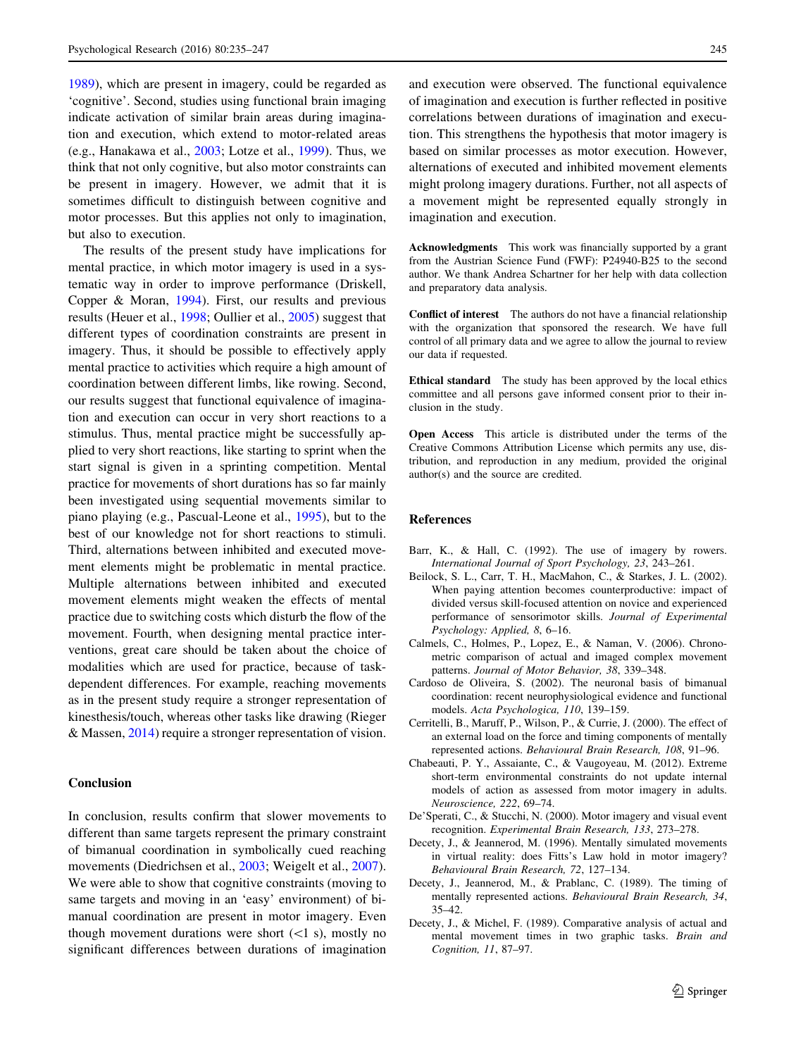<span id="page-10-0"></span>1989), which are present in imagery, could be regarded as 'cognitive'. Second, studies using functional brain imaging indicate activation of similar brain areas during imagination and execution, which extend to motor-related areas (e.g., Hanakawa et al., [2003](#page-11-0); Lotze et al., [1999\)](#page-11-0). Thus, we think that not only cognitive, but also motor constraints can be present in imagery. However, we admit that it is sometimes difficult to distinguish between cognitive and motor processes. But this applies not only to imagination, but also to execution.

The results of the present study have implications for mental practice, in which motor imagery is used in a systematic way in order to improve performance (Driskell, Copper & Moran, [1994](#page-11-0)). First, our results and previous results (Heuer et al., [1998;](#page-11-0) Oullier et al., [2005\)](#page-11-0) suggest that different types of coordination constraints are present in imagery. Thus, it should be possible to effectively apply mental practice to activities which require a high amount of coordination between different limbs, like rowing. Second, our results suggest that functional equivalence of imagination and execution can occur in very short reactions to a stimulus. Thus, mental practice might be successfully applied to very short reactions, like starting to sprint when the start signal is given in a sprinting competition. Mental practice for movements of short durations has so far mainly been investigated using sequential movements similar to piano playing (e.g., Pascual-Leone et al., [1995](#page-11-0)), but to the best of our knowledge not for short reactions to stimuli. Third, alternations between inhibited and executed movement elements might be problematic in mental practice. Multiple alternations between inhibited and executed movement elements might weaken the effects of mental practice due to switching costs which disturb the flow of the movement. Fourth, when designing mental practice interventions, great care should be taken about the choice of modalities which are used for practice, because of taskdependent differences. For example, reaching movements as in the present study require a stronger representation of kinesthesis/touch, whereas other tasks like drawing (Rieger & Massen, [2014\)](#page-11-0) require a stronger representation of vision.

# Conclusion

In conclusion, results confirm that slower movements to different than same targets represent the primary constraint of bimanual coordination in symbolically cued reaching movements (Diedrichsen et al., [2003;](#page-11-0) Weigelt et al., [2007](#page-12-0)). We were able to show that cognitive constraints (moving to same targets and moving in an 'easy' environment) of bimanual coordination are present in motor imagery. Even though movement durations were short  $(<1 s)$ , mostly no significant differences between durations of imagination

and execution were observed. The functional equivalence of imagination and execution is further reflected in positive correlations between durations of imagination and execution. This strengthens the hypothesis that motor imagery is based on similar processes as motor execution. However, alternations of executed and inhibited movement elements might prolong imagery durations. Further, not all aspects of a movement might be represented equally strongly in imagination and execution.

Acknowledgments This work was financially supported by a grant from the Austrian Science Fund (FWF): P24940-B25 to the second author. We thank Andrea Schartner for her help with data collection and preparatory data analysis.

Conflict of interest The authors do not have a financial relationship with the organization that sponsored the research. We have full control of all primary data and we agree to allow the journal to review our data if requested.

Ethical standard The study has been approved by the local ethics committee and all persons gave informed consent prior to their inclusion in the study.

Open Access This article is distributed under the terms of the Creative Commons Attribution License which permits any use, distribution, and reproduction in any medium, provided the original author(s) and the source are credited.

#### References

- Barr, K., & Hall, C. (1992). The use of imagery by rowers. International Journal of Sport Psychology, 23, 243–261.
- Beilock, S. L., Carr, T. H., MacMahon, C., & Starkes, J. L. (2002). When paying attention becomes counterproductive: impact of divided versus skill-focused attention on novice and experienced performance of sensorimotor skills. Journal of Experimental Psychology: Applied, 8, 6–16.
- Calmels, C., Holmes, P., Lopez, E., & Naman, V. (2006). Chronometric comparison of actual and imaged complex movement patterns. Journal of Motor Behavior, 38, 339–348.
- Cardoso de Oliveira, S. (2002). The neuronal basis of bimanual coordination: recent neurophysiological evidence and functional models. Acta Psychologica, 110, 139–159.
- Cerritelli, B., Maruff, P., Wilson, P., & Currie, J. (2000). The effect of an external load on the force and timing components of mentally represented actions. Behavioural Brain Research, 108, 91–96.
- Chabeauti, P. Y., Assaiante, C., & Vaugoyeau, M. (2012). Extreme short-term environmental constraints do not update internal models of action as assessed from motor imagery in adults. Neuroscience, 222, 69–74.
- De'Sperati, C., & Stucchi, N. (2000). Motor imagery and visual event recognition. Experimental Brain Research, 133, 273–278.
- Decety, J., & Jeannerod, M. (1996). Mentally simulated movements in virtual reality: does Fitts's Law hold in motor imagery? Behavioural Brain Research, 72, 127–134.
- Decety, J., Jeannerod, M., & Prablanc, C. (1989). The timing of mentally represented actions. Behavioural Brain Research, 34, 35–42.
- Decety, J., & Michel, F. (1989). Comparative analysis of actual and mental movement times in two graphic tasks. Brain and Cognition, 11, 87–97.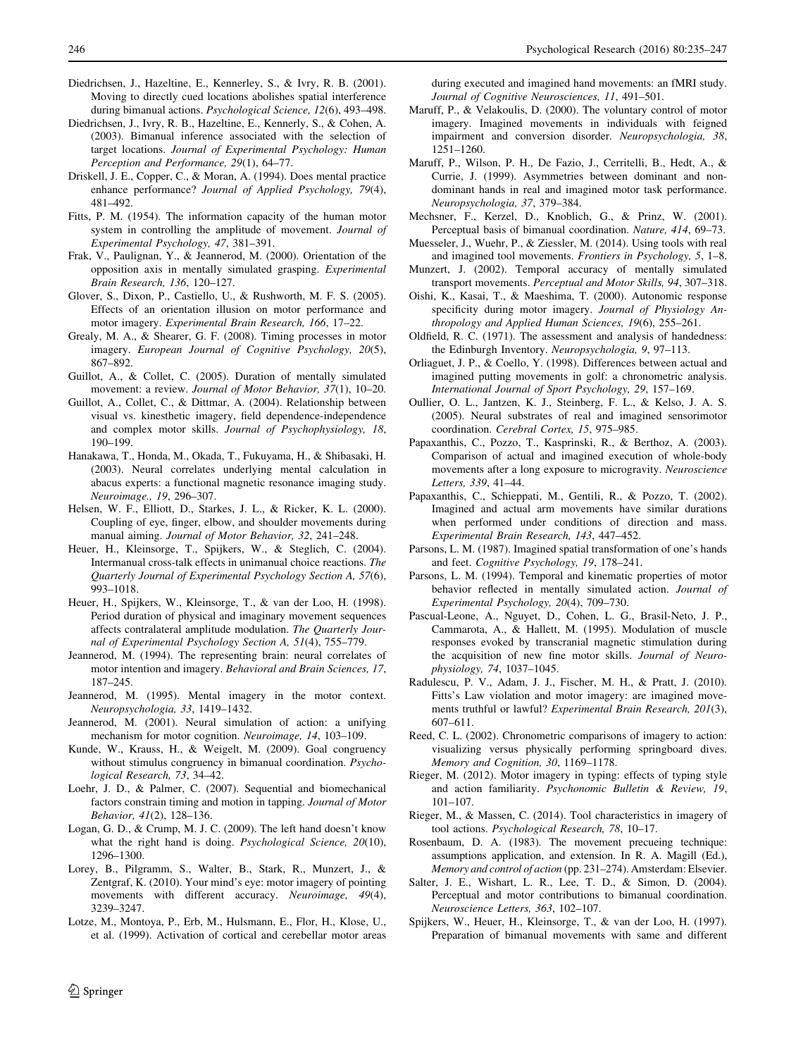- <span id="page-11-0"></span>Diedrichsen, J., Hazeltine, E., Kennerley, S., & Ivry, R. B. (2001). Moving to directly cued locations abolishes spatial interference during bimanual actions. Psychological Science, 12(6), 493–498.
- Diedrichsen, J., Ivry, R. B., Hazeltine, E., Kennerly, S., & Cohen, A. (2003). Bimanual inference associated with the selection of target locations. Journal of Experimental Psychology: Human Perception and Performance, 29(1), 64–77.
- Driskell, J. E., Copper, C., & Moran, A. (1994). Does mental practice enhance performance? Journal of Applied Psychology, 79(4), 481–492.
- Fitts, P. M. (1954). The information capacity of the human motor system in controlling the amplitude of movement. Journal of Experimental Psychology, 47, 381–391.
- Frak, V., Paulignan, Y., & Jeannerod, M. (2000). Orientation of the opposition axis in mentally simulated grasping. Experimental Brain Research, 136, 120–127.
- Glover, S., Dixon, P., Castiello, U., & Rushworth, M. F. S. (2005). Effects of an orientation illusion on motor performance and motor imagery. Experimental Brain Research, 166, 17–22.
- Grealy, M. A., & Shearer, G. F. (2008). Timing processes in motor imagery. European Journal of Cognitive Psychology, 20(5), 867–892.
- Guillot, A., & Collet, C. (2005). Duration of mentally simulated movement: a review. Journal of Motor Behavior, 37(1), 10–20.
- Guillot, A., Collet, C., & Dittmar, A. (2004). Relationship between visual vs. kinesthetic imagery, field dependence-independence and complex motor skills. Journal of Psychophysiology, 18, 190–199.
- Hanakawa, T., Honda, M., Okada, T., Fukuyama, H., & Shibasaki, H. (2003). Neural correlates underlying mental calculation in abacus experts: a functional magnetic resonance imaging study. Neuroimage., 19, 296–307.
- Helsen, W. F., Elliott, D., Starkes, J. L., & Ricker, K. L. (2000). Coupling of eye, finger, elbow, and shoulder movements during manual aiming. Journal of Motor Behavior, 32, 241–248.
- Heuer, H., Kleinsorge, T., Spijkers, W., & Steglich, C. (2004). Intermanual cross-talk effects in unimanual choice reactions. The Quarterly Journal of Experimental Psychology Section A, 57(6), 993–1018.
- Heuer, H., Spijkers, W., Kleinsorge, T., & van der Loo, H. (1998). Period duration of physical and imaginary movement sequences affects contralateral amplitude modulation. The Quarterly Journal of Experimental Psychology Section A, 51(4), 755–779.
- Jeannerod, M. (1994). The representing brain: neural correlates of motor intention and imagery. Behavioral and Brain Sciences, 17, 187–245.
- Jeannerod, M. (1995). Mental imagery in the motor context. Neuropsychologia, 33, 1419–1432.
- Jeannerod, M. (2001). Neural simulation of action: a unifying mechanism for motor cognition. Neuroimage, 14, 103–109.
- Kunde, W., Krauss, H., & Weigelt, M. (2009). Goal congruency without stimulus congruency in bimanual coordination. Psychological Research, 73, 34–42.
- Loehr, J. D., & Palmer, C. (2007). Sequential and biomechanical factors constrain timing and motion in tapping. Journal of Motor Behavior, 41(2), 128–136.
- Logan, G. D., & Crump, M. J. C. (2009). The left hand doesn't know what the right hand is doing. *Psychological Science*, 20(10), 1296–1300.
- Lorey, B., Pilgramm, S., Walter, B., Stark, R., Munzert, J., & Zentgraf, K. (2010). Your mind's eye: motor imagery of pointing movements with different accuracy. Neuroimage, 49(4), 3239–3247.
- Lotze, M., Montoya, P., Erb, M., Hulsmann, E., Flor, H., Klose, U., et al. (1999). Activation of cortical and cerebellar motor areas

during executed and imagined hand movements: an fMRI study. Journal of Cognitive Neurosciences, 11, 491–501.

- Maruff, P., & Velakoulis, D. (2000). The voluntary control of motor imagery. Imagined movements in individuals with feigned impairment and conversion disorder. Neuropsychologia, 38, 1251–1260.
- Maruff, P., Wilson, P. H., De Fazio, J., Cerritelli, B., Hedt, A., & Currie, J. (1999). Asymmetries between dominant and nondominant hands in real and imagined motor task performance. Neuropsychologia, 37, 379–384.
- Mechsner, F., Kerzel, D., Knoblich, G., & Prinz, W. (2001). Perceptual basis of bimanual coordination. Nature, 414, 69–73.
- Muesseler, J., Wuehr, P., & Ziessler, M. (2014). Using tools with real and imagined tool movements. Frontiers in Psychology, 5, 1–8.
- Munzert, J. (2002). Temporal accuracy of mentally simulated transport movements. Perceptual and Motor Skills, 94, 307–318.
- Oishi, K., Kasai, T., & Maeshima, T. (2000). Autonomic response specificity during motor imagery. Journal of Physiology Anthropology and Applied Human Sciences, 19(6), 255–261.
- Oldfield, R. C. (1971). The assessment and analysis of handedness: the Edinburgh Inventory. Neuropsychologia, 9, 97–113.
- Orliaguet, J. P., & Coello, Y. (1998). Differences between actual and imagined putting movements in golf: a chronometric analysis. International Journal of Sport Psychology, 29, 157–169.
- Oullier, O. L., Jantzen, K. J., Steinberg, F. L., & Kelso, J. A. S. (2005). Neural substrates of real and imagined sensorimotor coordination. Cerebral Cortex, 15, 975–985.
- Papaxanthis, C., Pozzo, T., Kasprinski, R., & Berthoz, A. (2003). Comparison of actual and imagined execution of whole-body movements after a long exposure to microgravity. Neuroscience Letters, 339, 41–44.
- Papaxanthis, C., Schieppati, M., Gentili, R., & Pozzo, T. (2002). Imagined and actual arm movements have similar durations when performed under conditions of direction and mass. Experimental Brain Research, 143, 447–452.
- Parsons, L. M. (1987). Imagined spatial transformation of one's hands and feet. Cognitive Psychology, 19, 178–241.
- Parsons, L. M. (1994). Temporal and kinematic properties of motor behavior reflected in mentally simulated action. Journal of Experimental Psychology, 20(4), 709–730.
- Pascual-Leone, A., Nguyet, D., Cohen, L. G., Brasil-Neto, J. P., Cammarota, A., & Hallett, M. (1995). Modulation of muscle responses evoked by transcranial magnetic stimulation during the acquisition of new fine motor skills. Journal of Neurophysiology, 74, 1037–1045.
- Radulescu, P. V., Adam, J. J., Fischer, M. H., & Pratt, J. (2010). Fitts's Law violation and motor imagery: are imagined movements truthful or lawful? Experimental Brain Research, 201(3), 607–611.
- Reed, C. L. (2002). Chronometric comparisons of imagery to action: visualizing versus physically performing springboard dives. Memory and Cognition, 30, 1169–1178.
- Rieger, M. (2012). Motor imagery in typing: effects of typing style and action familiarity. Psychonomic Bulletin & Review, 19, 101–107.
- Rieger, M., & Massen, C. (2014). Tool characteristics in imagery of tool actions. Psychological Research, 78, 10–17.
- Rosenbaum, D. A. (1983). The movement precueing technique: assumptions application, and extension. In R. A. Magill (Ed.), Memory and control of action (pp. 231–274). Amsterdam: Elsevier.
- Salter, J. E., Wishart, L. R., Lee, T. D., & Simon, D. (2004). Perceptual and motor contributions to bimanual coordination. Neuroscience Letters, 363, 102–107.
- Spijkers, W., Heuer, H., Kleinsorge, T., & van der Loo, H. (1997). Preparation of bimanual movements with same and different